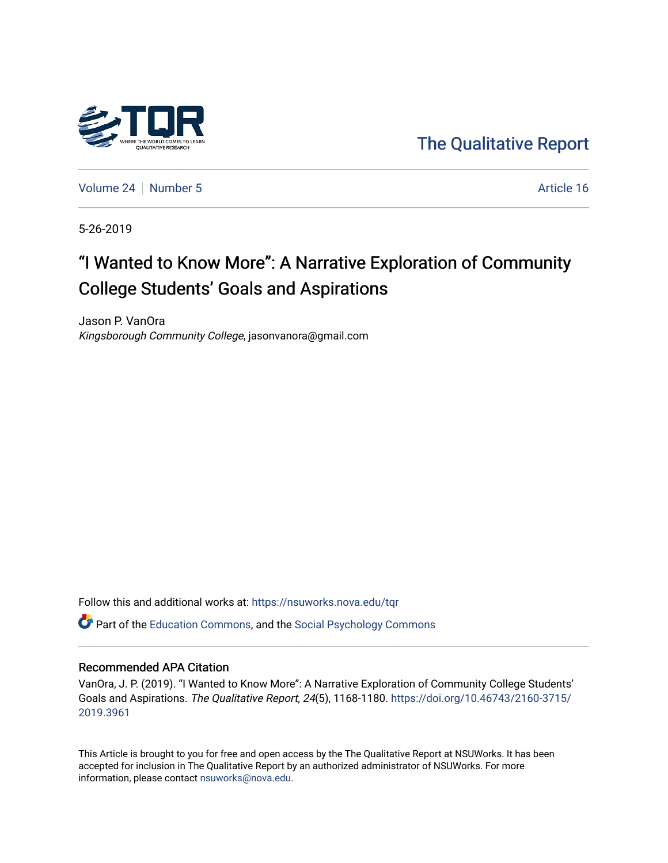

[The Qualitative Report](https://nsuworks.nova.edu/tqr) 

[Volume 24](https://nsuworks.nova.edu/tqr/vol24) [Number 5](https://nsuworks.nova.edu/tqr/vol24/iss5) Article 16

5-26-2019

# "I Wanted to Know More": A Narrative Exploration of Community College Students' Goals and Aspirations

Jason P. VanOra Kingsborough Community College, jasonvanora@gmail.com

Follow this and additional works at: [https://nsuworks.nova.edu/tqr](https://nsuworks.nova.edu/tqr?utm_source=nsuworks.nova.edu%2Ftqr%2Fvol24%2Fiss5%2F16&utm_medium=PDF&utm_campaign=PDFCoverPages) 

**C** Part of the [Education Commons](http://network.bepress.com/hgg/discipline/784?utm_source=nsuworks.nova.edu%2Ftqr%2Fvol24%2Fiss5%2F16&utm_medium=PDF&utm_campaign=PDFCoverPages), and the Social Psychology Commons

#### Recommended APA Citation

VanOra, J. P. (2019). "I Wanted to Know More": A Narrative Exploration of Community College Students' Goals and Aspirations. The Qualitative Report, 24(5), 1168-1180. [https://doi.org/10.46743/2160-3715/](https://doi.org/10.46743/2160-3715/2019.3961) [2019.3961](https://doi.org/10.46743/2160-3715/2019.3961) 

This Article is brought to you for free and open access by the The Qualitative Report at NSUWorks. It has been accepted for inclusion in The Qualitative Report by an authorized administrator of NSUWorks. For more information, please contact [nsuworks@nova.edu.](mailto:nsuworks@nova.edu)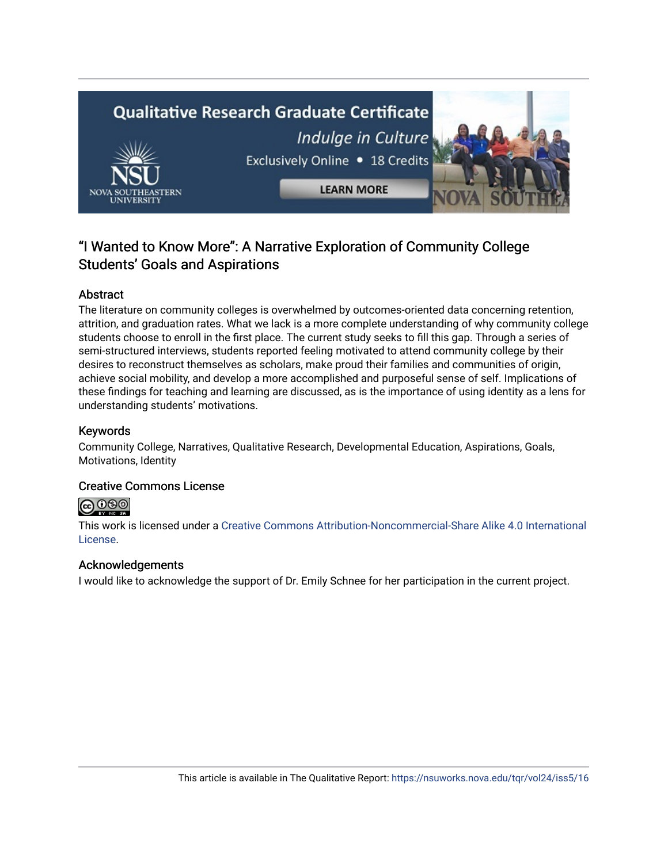

# "I Wanted to Know More": A Narrative Exploration of Community College Students' Goals and Aspirations

# Abstract

The literature on community colleges is overwhelmed by outcomes-oriented data concerning retention, attrition, and graduation rates. What we lack is a more complete understanding of why community college students choose to enroll in the first place. The current study seeks to fill this gap. Through a series of semi-structured interviews, students reported feeling motivated to attend community college by their desires to reconstruct themselves as scholars, make proud their families and communities of origin, achieve social mobility, and develop a more accomplished and purposeful sense of self. Implications of these findings for teaching and learning are discussed, as is the importance of using identity as a lens for understanding students' motivations.

# Keywords

Community College, Narratives, Qualitative Research, Developmental Education, Aspirations, Goals, Motivations, Identity

# Creative Commons License



This work is licensed under a [Creative Commons Attribution-Noncommercial-Share Alike 4.0 International](https://creativecommons.org/licenses/by-nc-sa/4.0/)  [License](https://creativecommons.org/licenses/by-nc-sa/4.0/).

# Acknowledgements

I would like to acknowledge the support of Dr. Emily Schnee for her participation in the current project.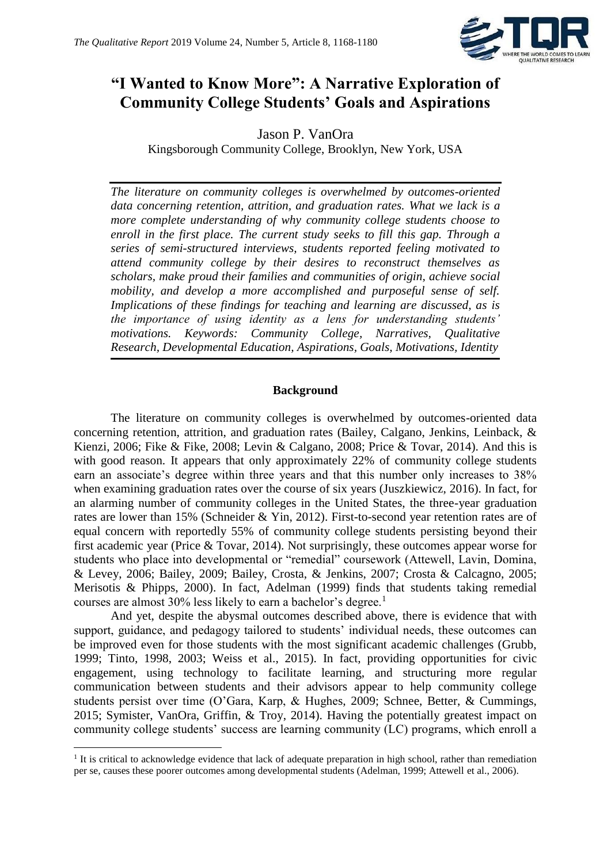

# **"I Wanted to Know More": A Narrative Exploration of Community College Students' Goals and Aspirations**

Jason P. VanOra Kingsborough Community College, Brooklyn, New York, USA

*The literature on community colleges is overwhelmed by outcomes-oriented data concerning retention, attrition, and graduation rates. What we lack is a more complete understanding of why community college students choose to enroll in the first place. The current study seeks to fill this gap. Through a series of semi-structured interviews, students reported feeling motivated to attend community college by their desires to reconstruct themselves as scholars, make proud their families and communities of origin, achieve social mobility, and develop a more accomplished and purposeful sense of self. Implications of these findings for teaching and learning are discussed, as is the importance of using identity as a lens for understanding students' motivations. Keywords: Community College, Narratives, Qualitative Research, Developmental Education, Aspirations, Goals, Motivations, Identity*

# **Background**

The literature on community colleges is overwhelmed by outcomes-oriented data concerning retention, attrition, and graduation rates (Bailey, Calgano, Jenkins, Leinback, & Kienzi, 2006; Fike & Fike, 2008; Levin & Calgano, 2008; Price & Tovar, 2014). And this is with good reason. It appears that only approximately 22% of community college students earn an associate's degree within three years and that this number only increases to 38% when examining graduation rates over the course of six years (Juszkiewicz, 2016). In fact, for an alarming number of community colleges in the United States, the three-year graduation rates are lower than 15% (Schneider & Yin, 2012). First-to-second year retention rates are of equal concern with reportedly 55% of community college students persisting beyond their first academic year (Price & Tovar, 2014). Not surprisingly, these outcomes appear worse for students who place into developmental or "remedial" coursework (Attewell, Lavin, Domina, & Levey, 2006; Bailey, 2009; Bailey, Crosta, & Jenkins, 2007; Crosta & Calcagno, 2005; Merisotis & Phipps, 2000). In fact, Adelman (1999) finds that students taking remedial courses are almost  $30\%$  less likely to earn a bachelor's degree.<sup>1</sup>

And yet, despite the abysmal outcomes described above, there is evidence that with support, guidance, and pedagogy tailored to students' individual needs, these outcomes can be improved even for those students with the most significant academic challenges (Grubb, 1999; Tinto, 1998, 2003; Weiss et al., 2015). In fact, providing opportunities for civic engagement, using technology to facilitate learning, and structuring more regular communication between students and their advisors appear to help community college students persist over time (O'Gara, Karp, & Hughes, 2009; Schnee, Better, & Cummings, 2015; Symister, VanOra, Griffin, & Troy, 2014). Having the potentially greatest impact on community college students' success are learning community (LC) programs, which enroll a

**.** 

<sup>&</sup>lt;sup>1</sup> It is critical to acknowledge evidence that lack of adequate preparation in high school, rather than remediation per se, causes these poorer outcomes among developmental students (Adelman, 1999; Attewell et al., 2006).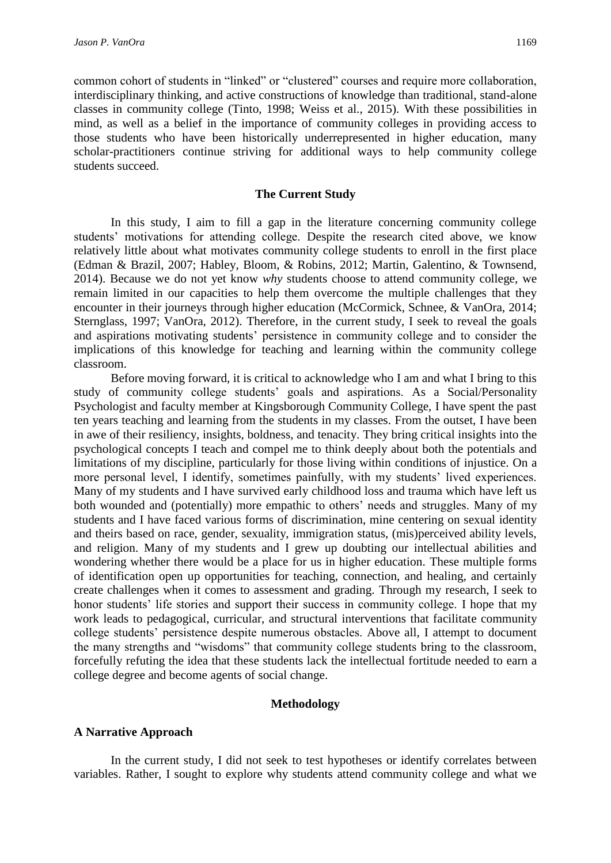common cohort of students in "linked" or "clustered" courses and require more collaboration, interdisciplinary thinking, and active constructions of knowledge than traditional, stand-alone classes in community college (Tinto, 1998; Weiss et al., 2015). With these possibilities in mind, as well as a belief in the importance of community colleges in providing access to those students who have been historically underrepresented in higher education, many scholar-practitioners continue striving for additional ways to help community college students succeed.

#### **The Current Study**

In this study, I aim to fill a gap in the literature concerning community college students' motivations for attending college. Despite the research cited above, we know relatively little about what motivates community college students to enroll in the first place (Edman & Brazil, 2007; Habley, Bloom, & Robins, 2012; Martin, Galentino, & Townsend, 2014). Because we do not yet know *why* students choose to attend community college, we remain limited in our capacities to help them overcome the multiple challenges that they encounter in their journeys through higher education (McCormick, Schnee, & VanOra, 2014; Sternglass, 1997; VanOra, 2012). Therefore, in the current study, I seek to reveal the goals and aspirations motivating students' persistence in community college and to consider the implications of this knowledge for teaching and learning within the community college classroom.

Before moving forward, it is critical to acknowledge who I am and what I bring to this study of community college students' goals and aspirations. As a Social/Personality Psychologist and faculty member at Kingsborough Community College, I have spent the past ten years teaching and learning from the students in my classes. From the outset, I have been in awe of their resiliency, insights, boldness, and tenacity. They bring critical insights into the psychological concepts I teach and compel me to think deeply about both the potentials and limitations of my discipline, particularly for those living within conditions of injustice. On a more personal level, I identify, sometimes painfully, with my students' lived experiences. Many of my students and I have survived early childhood loss and trauma which have left us both wounded and (potentially) more empathic to others' needs and struggles. Many of my students and I have faced various forms of discrimination, mine centering on sexual identity and theirs based on race, gender, sexuality, immigration status, (mis)perceived ability levels, and religion. Many of my students and I grew up doubting our intellectual abilities and wondering whether there would be a place for us in higher education. These multiple forms of identification open up opportunities for teaching, connection, and healing, and certainly create challenges when it comes to assessment and grading. Through my research, I seek to honor students' life stories and support their success in community college. I hope that my work leads to pedagogical, curricular, and structural interventions that facilitate community college students' persistence despite numerous obstacles. Above all, I attempt to document the many strengths and "wisdoms" that community college students bring to the classroom, forcefully refuting the idea that these students lack the intellectual fortitude needed to earn a college degree and become agents of social change.

#### **Methodology**

#### **A Narrative Approach**

In the current study, I did not seek to test hypotheses or identify correlates between variables. Rather, I sought to explore why students attend community college and what we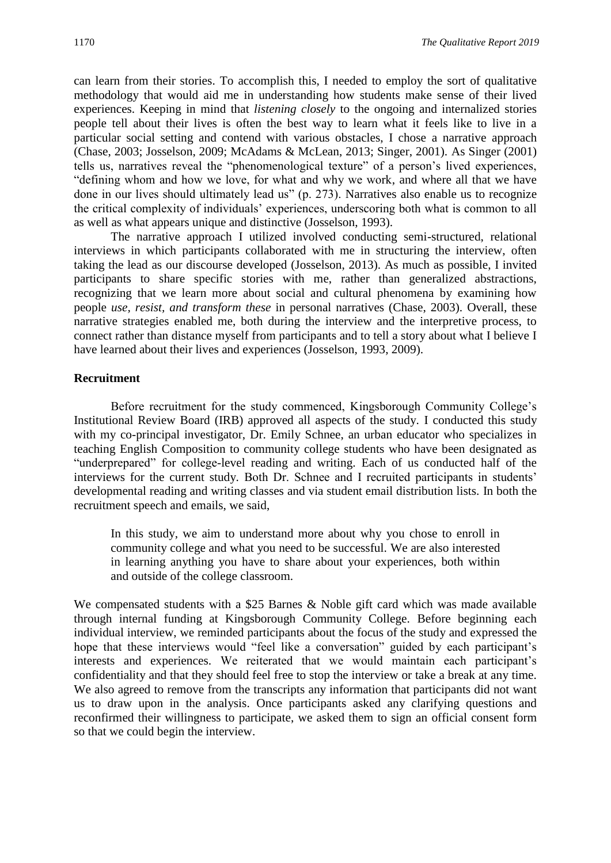can learn from their stories. To accomplish this, I needed to employ the sort of qualitative methodology that would aid me in understanding how students make sense of their lived experiences. Keeping in mind that *listening closely* to the ongoing and internalized stories people tell about their lives is often the best way to learn what it feels like to live in a particular social setting and contend with various obstacles, I chose a narrative approach (Chase, 2003; Josselson, 2009; McAdams & McLean, 2013; Singer, 2001). As Singer (2001) tells us, narratives reveal the "phenomenological texture" of a person's lived experiences, "defining whom and how we love, for what and why we work, and where all that we have done in our lives should ultimately lead us" (p. 273). Narratives also enable us to recognize the critical complexity of individuals' experiences, underscoring both what is common to all as well as what appears unique and distinctive (Josselson, 1993).

The narrative approach I utilized involved conducting semi-structured, relational interviews in which participants collaborated with me in structuring the interview, often taking the lead as our discourse developed (Josselson, 2013). As much as possible, I invited participants to share specific stories with me, rather than generalized abstractions, recognizing that we learn more about social and cultural phenomena by examining how people *use, resist, and transform these* in personal narratives (Chase, 2003). Overall, these narrative strategies enabled me, both during the interview and the interpretive process, to connect rather than distance myself from participants and to tell a story about what I believe I have learned about their lives and experiences (Josselson, 1993, 2009).

#### **Recruitment**

Before recruitment for the study commenced, Kingsborough Community College's Institutional Review Board (IRB) approved all aspects of the study. I conducted this study with my co-principal investigator, Dr. Emily Schnee, an urban educator who specializes in teaching English Composition to community college students who have been designated as "underprepared" for college-level reading and writing. Each of us conducted half of the interviews for the current study. Both Dr. Schnee and I recruited participants in students' developmental reading and writing classes and via student email distribution lists. In both the recruitment speech and emails, we said,

In this study, we aim to understand more about why you chose to enroll in community college and what you need to be successful. We are also interested in learning anything you have to share about your experiences, both within and outside of the college classroom.

We compensated students with a \$25 Barnes & Noble gift card which was made available through internal funding at Kingsborough Community College. Before beginning each individual interview, we reminded participants about the focus of the study and expressed the hope that these interviews would "feel like a conversation" guided by each participant's interests and experiences. We reiterated that we would maintain each participant's confidentiality and that they should feel free to stop the interview or take a break at any time. We also agreed to remove from the transcripts any information that participants did not want us to draw upon in the analysis. Once participants asked any clarifying questions and reconfirmed their willingness to participate, we asked them to sign an official consent form so that we could begin the interview.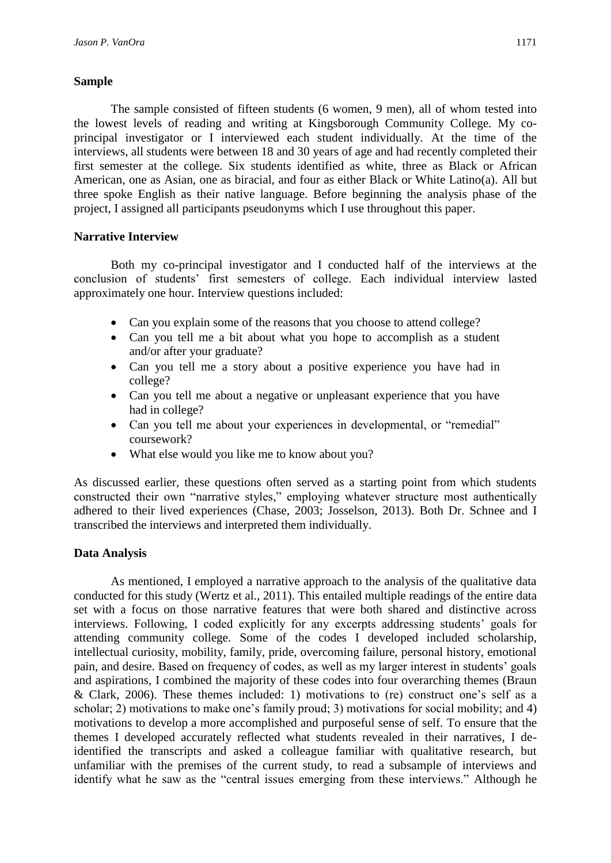#### **Sample**

The sample consisted of fifteen students (6 women, 9 men), all of whom tested into the lowest levels of reading and writing at Kingsborough Community College. My coprincipal investigator or I interviewed each student individually. At the time of the interviews, all students were between 18 and 30 years of age and had recently completed their first semester at the college. Six students identified as white, three as Black or African American, one as Asian, one as biracial, and four as either Black or White Latino(a). All but three spoke English as their native language. Before beginning the analysis phase of the project, I assigned all participants pseudonyms which I use throughout this paper.

# **Narrative Interview**

Both my co-principal investigator and I conducted half of the interviews at the conclusion of students' first semesters of college. Each individual interview lasted approximately one hour. Interview questions included:

- Can you explain some of the reasons that you choose to attend college?
- Can you tell me a bit about what you hope to accomplish as a student and/or after your graduate?
- Can you tell me a story about a positive experience you have had in college?
- Can you tell me about a negative or unpleasant experience that you have had in college?
- Can you tell me about your experiences in developmental, or "remedial" coursework?
- What else would you like me to know about you?

As discussed earlier, these questions often served as a starting point from which students constructed their own "narrative styles," employing whatever structure most authentically adhered to their lived experiences (Chase, 2003; Josselson, 2013). Both Dr. Schnee and I transcribed the interviews and interpreted them individually.

# **Data Analysis**

As mentioned, I employed a narrative approach to the analysis of the qualitative data conducted for this study (Wertz et al., 2011). This entailed multiple readings of the entire data set with a focus on those narrative features that were both shared and distinctive across interviews. Following, I coded explicitly for any excerpts addressing students' goals for attending community college. Some of the codes I developed included scholarship, intellectual curiosity, mobility, family, pride, overcoming failure, personal history, emotional pain, and desire. Based on frequency of codes, as well as my larger interest in students' goals and aspirations, I combined the majority of these codes into four overarching themes (Braun & Clark, 2006). These themes included: 1) motivations to (re) construct one's self as a scholar; 2) motivations to make one's family proud; 3) motivations for social mobility; and 4) motivations to develop a more accomplished and purposeful sense of self. To ensure that the themes I developed accurately reflected what students revealed in their narratives, I deidentified the transcripts and asked a colleague familiar with qualitative research, but unfamiliar with the premises of the current study, to read a subsample of interviews and identify what he saw as the "central issues emerging from these interviews." Although he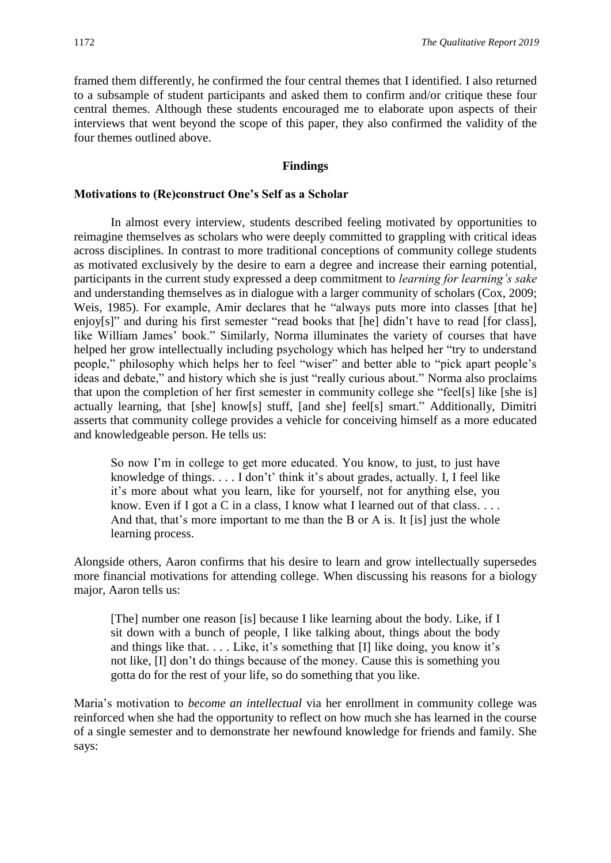framed them differently, he confirmed the four central themes that I identified. I also returned to a subsample of student participants and asked them to confirm and/or critique these four central themes. Although these students encouraged me to elaborate upon aspects of their interviews that went beyond the scope of this paper, they also confirmed the validity of the four themes outlined above.

#### **Findings**

#### **Motivations to (Re)construct One's Self as a Scholar**

In almost every interview, students described feeling motivated by opportunities to reimagine themselves as scholars who were deeply committed to grappling with critical ideas across disciplines. In contrast to more traditional conceptions of community college students as motivated exclusively by the desire to earn a degree and increase their earning potential, participants in the current study expressed a deep commitment to *learning for learning's sake* and understanding themselves as in dialogue with a larger community of scholars (Cox, 2009; Weis, 1985). For example, Amir declares that he "always puts more into classes [that he] enjoy[s]" and during his first semester "read books that [he] didn't have to read [for class], like William James' book." Similarly, Norma illuminates the variety of courses that have helped her grow intellectually including psychology which has helped her "try to understand people," philosophy which helps her to feel "wiser" and better able to "pick apart people's ideas and debate," and history which she is just "really curious about." Norma also proclaims that upon the completion of her first semester in community college she "feel[s] like [she is] actually learning, that [she] know[s] stuff, [and she] feel[s] smart." Additionally, Dimitri asserts that community college provides a vehicle for conceiving himself as a more educated and knowledgeable person. He tells us:

So now I'm in college to get more educated. You know, to just, to just have knowledge of things. . . . I don't' think it's about grades, actually. I, I feel like it's more about what you learn, like for yourself, not for anything else, you know. Even if I got a C in a class, I know what I learned out of that class. . . . And that, that's more important to me than the B or A is. It [is] just the whole learning process.

Alongside others, Aaron confirms that his desire to learn and grow intellectually supersedes more financial motivations for attending college. When discussing his reasons for a biology major, Aaron tells us:

[The] number one reason [is] because I like learning about the body. Like, if I sit down with a bunch of people, I like talking about, things about the body and things like that. . . . Like, it's something that [I] like doing, you know it's not like, [I] don't do things because of the money. Cause this is something you gotta do for the rest of your life, so do something that you like.

Maria's motivation to *become an intellectual* via her enrollment in community college was reinforced when she had the opportunity to reflect on how much she has learned in the course of a single semester and to demonstrate her newfound knowledge for friends and family. She says: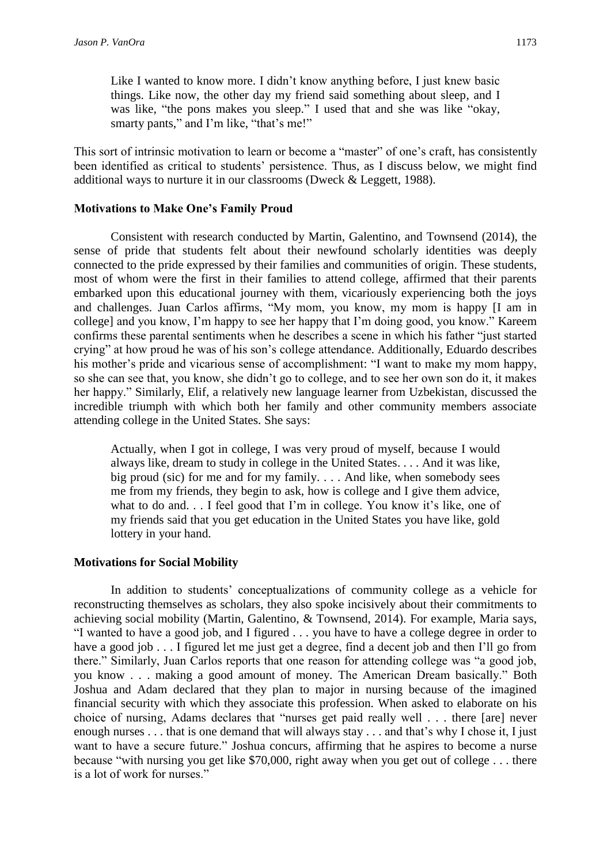Like I wanted to know more. I didn't know anything before, I just knew basic things. Like now, the other day my friend said something about sleep, and I was like, "the pons makes you sleep." I used that and she was like "okay, smarty pants," and I'm like, "that's me!"

This sort of intrinsic motivation to learn or become a "master" of one's craft, has consistently been identified as critical to students' persistence. Thus, as I discuss below, we might find additional ways to nurture it in our classrooms (Dweck & Leggett, 1988).

#### **Motivations to Make One's Family Proud**

Consistent with research conducted by Martin, Galentino, and Townsend (2014), the sense of pride that students felt about their newfound scholarly identities was deeply connected to the pride expressed by their families and communities of origin. These students, most of whom were the first in their families to attend college, affirmed that their parents embarked upon this educational journey with them, vicariously experiencing both the joys and challenges. Juan Carlos affirms, "My mom, you know, my mom is happy [I am in college] and you know, I'm happy to see her happy that I'm doing good, you know." Kareem confirms these parental sentiments when he describes a scene in which his father "just started crying" at how proud he was of his son's college attendance. Additionally, Eduardo describes his mother's pride and vicarious sense of accomplishment: "I want to make my mom happy, so she can see that, you know, she didn't go to college, and to see her own son do it, it makes her happy." Similarly, Elif, a relatively new language learner from Uzbekistan, discussed the incredible triumph with which both her family and other community members associate attending college in the United States. She says:

Actually, when I got in college, I was very proud of myself, because I would always like, dream to study in college in the United States. . . . And it was like, big proud (sic) for me and for my family. . . . And like, when somebody sees me from my friends, they begin to ask, how is college and I give them advice, what to do and. . . I feel good that I'm in college. You know it's like, one of my friends said that you get education in the United States you have like, gold lottery in your hand.

#### **Motivations for Social Mobility**

In addition to students' conceptualizations of community college as a vehicle for reconstructing themselves as scholars, they also spoke incisively about their commitments to achieving social mobility (Martin, Galentino, & Townsend, 2014). For example, Maria says, "I wanted to have a good job, and I figured . . . you have to have a college degree in order to have a good job . . . I figured let me just get a degree, find a decent job and then I'll go from there." Similarly, Juan Carlos reports that one reason for attending college was "a good job, you know . . . making a good amount of money. The American Dream basically." Both Joshua and Adam declared that they plan to major in nursing because of the imagined financial security with which they associate this profession. When asked to elaborate on his choice of nursing, Adams declares that "nurses get paid really well . . . there [are] never enough nurses . . . that is one demand that will always stay . . . and that's why I chose it, I just want to have a secure future." Joshua concurs, affirming that he aspires to become a nurse because "with nursing you get like \$70,000, right away when you get out of college . . . there is a lot of work for nurses."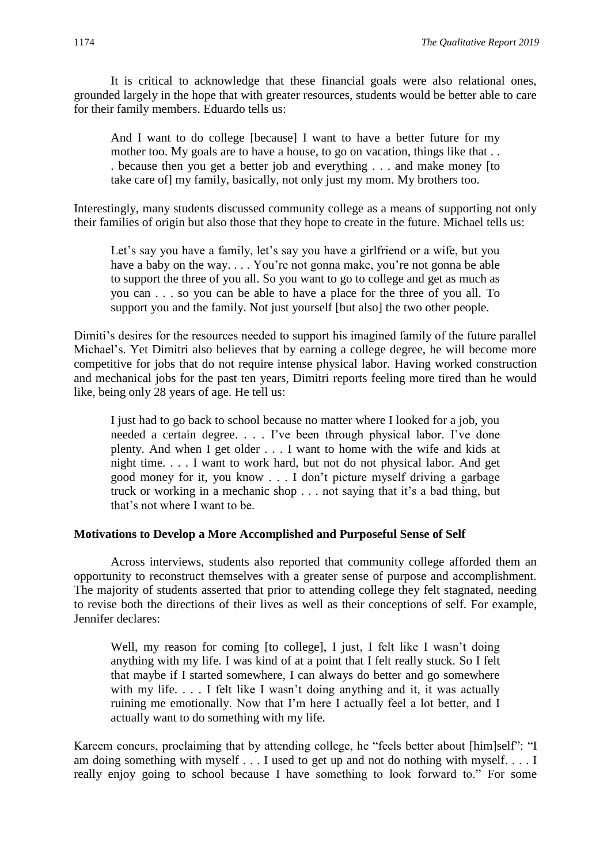It is critical to acknowledge that these financial goals were also relational ones, grounded largely in the hope that with greater resources, students would be better able to care for their family members. Eduardo tells us:

And I want to do college [because] I want to have a better future for my mother too. My goals are to have a house, to go on vacation, things like that ... . because then you get a better job and everything . . . and make money [to take care of] my family, basically, not only just my mom. My brothers too.

Interestingly, many students discussed community college as a means of supporting not only their families of origin but also those that they hope to create in the future. Michael tells us:

Let's say you have a family, let's say you have a girlfriend or a wife, but you have a baby on the way. . . . You're not gonna make, you're not gonna be able to support the three of you all. So you want to go to college and get as much as you can . . . so you can be able to have a place for the three of you all. To support you and the family. Not just yourself [but also] the two other people.

Dimiti's desires for the resources needed to support his imagined family of the future parallel Michael's. Yet Dimitri also believes that by earning a college degree, he will become more competitive for jobs that do not require intense physical labor. Having worked construction and mechanical jobs for the past ten years, Dimitri reports feeling more tired than he would like, being only 28 years of age. He tell us:

I just had to go back to school because no matter where I looked for a job, you needed a certain degree. . . . I've been through physical labor. I've done plenty. And when I get older . . . I want to home with the wife and kids at night time. . . . I want to work hard, but not do not physical labor. And get good money for it, you know . . . I don't picture myself driving a garbage truck or working in a mechanic shop . . . not saying that it's a bad thing, but that's not where I want to be.

# **Motivations to Develop a More Accomplished and Purposeful Sense of Self**

Across interviews, students also reported that community college afforded them an opportunity to reconstruct themselves with a greater sense of purpose and accomplishment. The majority of students asserted that prior to attending college they felt stagnated, needing to revise both the directions of their lives as well as their conceptions of self. For example, Jennifer declares:

Well, my reason for coming [to college], I just, I felt like I wasn't doing anything with my life. I was kind of at a point that I felt really stuck. So I felt that maybe if I started somewhere, I can always do better and go somewhere with my life. . . . I felt like I wasn't doing anything and it, it was actually ruining me emotionally. Now that I'm here I actually feel a lot better, and I actually want to do something with my life.

Kareem concurs, proclaiming that by attending college, he "feels better about [him]self": "I am doing something with myself . . . I used to get up and not do nothing with myself. . . . I really enjoy going to school because I have something to look forward to." For some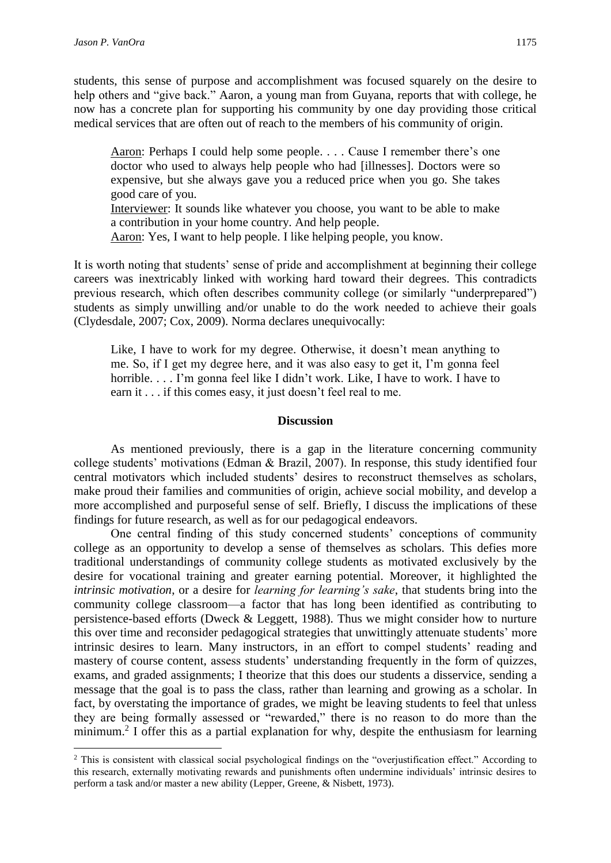$\overline{\phantom{a}}$ 

students, this sense of purpose and accomplishment was focused squarely on the desire to help others and "give back." Aaron, a young man from Guyana, reports that with college, he now has a concrete plan for supporting his community by one day providing those critical medical services that are often out of reach to the members of his community of origin.

Aaron: Perhaps I could help some people. . . . Cause I remember there's one doctor who used to always help people who had [illnesses]. Doctors were so expensive, but she always gave you a reduced price when you go. She takes good care of you.

Interviewer: It sounds like whatever you choose, you want to be able to make a contribution in your home country. And help people.

Aaron: Yes, I want to help people. I like helping people, you know.

It is worth noting that students' sense of pride and accomplishment at beginning their college careers was inextricably linked with working hard toward their degrees. This contradicts previous research, which often describes community college (or similarly "underprepared") students as simply unwilling and/or unable to do the work needed to achieve their goals (Clydesdale, 2007; Cox, 2009). Norma declares unequivocally:

Like, I have to work for my degree. Otherwise, it doesn't mean anything to me. So, if I get my degree here, and it was also easy to get it, I'm gonna feel horrible. . . . I'm gonna feel like I didn't work. Like, I have to work. I have to earn it . . . if this comes easy, it just doesn't feel real to me.

#### **Discussion**

As mentioned previously, there is a gap in the literature concerning community college students' motivations (Edman & Brazil, 2007). In response, this study identified four central motivators which included students' desires to reconstruct themselves as scholars, make proud their families and communities of origin, achieve social mobility, and develop a more accomplished and purposeful sense of self. Briefly, I discuss the implications of these findings for future research, as well as for our pedagogical endeavors.

One central finding of this study concerned students' conceptions of community college as an opportunity to develop a sense of themselves as scholars. This defies more traditional understandings of community college students as motivated exclusively by the desire for vocational training and greater earning potential. Moreover, it highlighted the *intrinsic motivation*, or a desire for *learning for learning's sake*, that students bring into the community college classroom—a factor that has long been identified as contributing to persistence-based efforts (Dweck & Leggett, 1988). Thus we might consider how to nurture this over time and reconsider pedagogical strategies that unwittingly attenuate students' more intrinsic desires to learn. Many instructors, in an effort to compel students' reading and mastery of course content, assess students' understanding frequently in the form of quizzes, exams, and graded assignments; I theorize that this does our students a disservice, sending a message that the goal is to pass the class, rather than learning and growing as a scholar. In fact, by overstating the importance of grades, we might be leaving students to feel that unless they are being formally assessed or "rewarded," there is no reason to do more than the minimum.<sup>2</sup> I offer this as a partial explanation for why, despite the enthusiasm for learning

<sup>2</sup> This is consistent with classical social psychological findings on the "overjustification effect." According to this research, externally motivating rewards and punishments often undermine individuals' intrinsic desires to perform a task and/or master a new ability (Lepper, Greene, & Nisbett, 1973).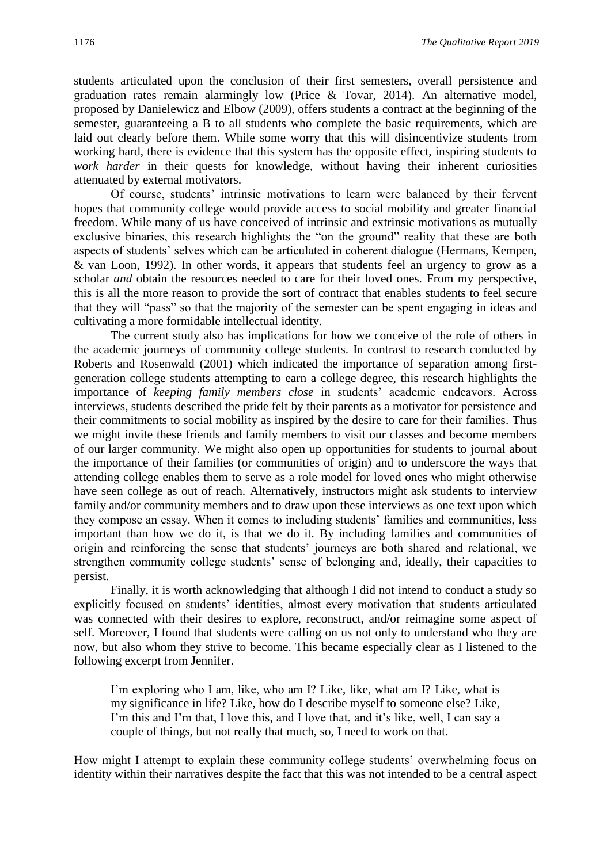students articulated upon the conclusion of their first semesters, overall persistence and graduation rates remain alarmingly low (Price & Tovar, 2014). An alternative model, proposed by Danielewicz and Elbow (2009), offers students a contract at the beginning of the semester, guaranteeing a B to all students who complete the basic requirements, which are laid out clearly before them. While some worry that this will disincentivize students from working hard, there is evidence that this system has the opposite effect, inspiring students to *work harder* in their quests for knowledge, without having their inherent curiosities attenuated by external motivators.

Of course, students' intrinsic motivations to learn were balanced by their fervent hopes that community college would provide access to social mobility and greater financial freedom. While many of us have conceived of intrinsic and extrinsic motivations as mutually exclusive binaries, this research highlights the "on the ground" reality that these are both aspects of students' selves which can be articulated in coherent dialogue (Hermans, Kempen, & van Loon, 1992). In other words, it appears that students feel an urgency to grow as a scholar *and* obtain the resources needed to care for their loved ones. From my perspective, this is all the more reason to provide the sort of contract that enables students to feel secure that they will "pass" so that the majority of the semester can be spent engaging in ideas and cultivating a more formidable intellectual identity.

The current study also has implications for how we conceive of the role of others in the academic journeys of community college students. In contrast to research conducted by Roberts and Rosenwald (2001) which indicated the importance of separation among firstgeneration college students attempting to earn a college degree, this research highlights the importance of *keeping family members close* in students' academic endeavors. Across interviews, students described the pride felt by their parents as a motivator for persistence and their commitments to social mobility as inspired by the desire to care for their families. Thus we might invite these friends and family members to visit our classes and become members of our larger community. We might also open up opportunities for students to journal about the importance of their families (or communities of origin) and to underscore the ways that attending college enables them to serve as a role model for loved ones who might otherwise have seen college as out of reach. Alternatively, instructors might ask students to interview family and/or community members and to draw upon these interviews as one text upon which they compose an essay. When it comes to including students' families and communities, less important than how we do it, is that we do it. By including families and communities of origin and reinforcing the sense that students' journeys are both shared and relational, we strengthen community college students' sense of belonging and, ideally, their capacities to persist.

Finally, it is worth acknowledging that although I did not intend to conduct a study so explicitly focused on students' identities, almost every motivation that students articulated was connected with their desires to explore, reconstruct, and/or reimagine some aspect of self. Moreover, I found that students were calling on us not only to understand who they are now, but also whom they strive to become. This became especially clear as I listened to the following excerpt from Jennifer.

I'm exploring who I am, like, who am I? Like, like, what am I? Like, what is my significance in life? Like, how do I describe myself to someone else? Like, I'm this and I'm that, I love this, and I love that, and it's like, well, I can say a couple of things, but not really that much, so, I need to work on that.

How might I attempt to explain these community college students' overwhelming focus on identity within their narratives despite the fact that this was not intended to be a central aspect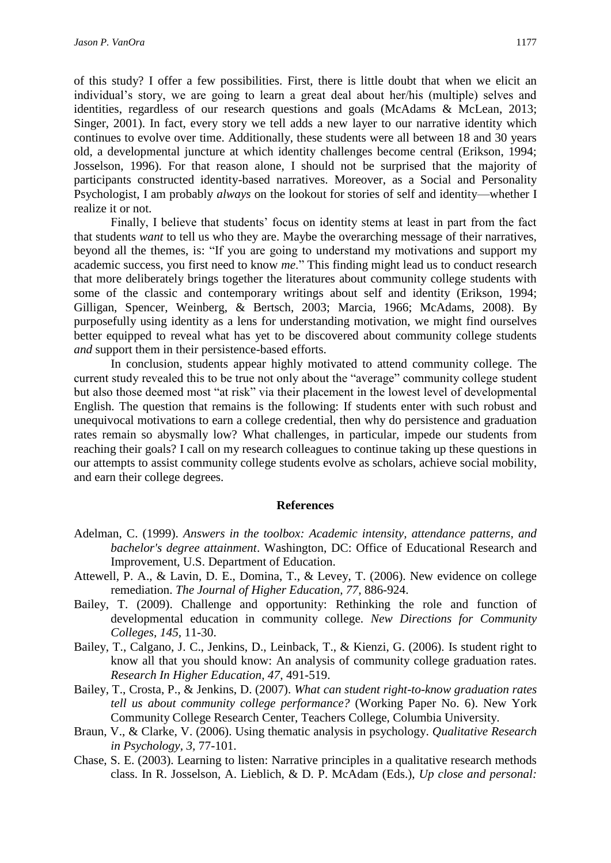of this study? I offer a few possibilities. First, there is little doubt that when we elicit an individual's story, we are going to learn a great deal about her/his (multiple) selves and identities, regardless of our research questions and goals (McAdams & McLean, 2013; Singer, 2001). In fact, every story we tell adds a new layer to our narrative identity which continues to evolve over time. Additionally, these students were all between 18 and 30 years old, a developmental juncture at which identity challenges become central (Erikson, 1994; Josselson, 1996). For that reason alone, I should not be surprised that the majority of participants constructed identity-based narratives. Moreover, as a Social and Personality Psychologist, I am probably *always* on the lookout for stories of self and identity—whether I realize it or not.

Finally, I believe that students' focus on identity stems at least in part from the fact that students *want* to tell us who they are. Maybe the overarching message of their narratives, beyond all the themes, is: "If you are going to understand my motivations and support my academic success, you first need to know *me*." This finding might lead us to conduct research that more deliberately brings together the literatures about community college students with some of the classic and contemporary writings about self and identity (Erikson, 1994; Gilligan, Spencer, Weinberg, & Bertsch, 2003; Marcia, 1966; McAdams, 2008). By purposefully using identity as a lens for understanding motivation, we might find ourselves better equipped to reveal what has yet to be discovered about community college students *and* support them in their persistence-based efforts.

In conclusion, students appear highly motivated to attend community college. The current study revealed this to be true not only about the "average" community college student but also those deemed most "at risk" via their placement in the lowest level of developmental English. The question that remains is the following: If students enter with such robust and unequivocal motivations to earn a college credential, then why do persistence and graduation rates remain so abysmally low? What challenges, in particular, impede our students from reaching their goals? I call on my research colleagues to continue taking up these questions in our attempts to assist community college students evolve as scholars, achieve social mobility, and earn their college degrees.

#### **References**

- Adelman, C. (1999). *Answers in the toolbox: Academic intensity, attendance patterns, and bachelor's degree attainment*. Washington, DC: Office of Educational Research and Improvement, U.S. Department of Education.
- Attewell, P. A., & Lavin, D. E., Domina, T., & Levey, T. (2006). New evidence on college remediation. *The Journal of Higher Education, 77,* 886-924.
- Bailey, T. (2009). Challenge and opportunity: Rethinking the role and function of developmental education in community college. *New Directions for Community Colleges, 145,* 11-30.
- Bailey, T., Calgano, J. C., Jenkins, D., Leinback, T., & Kienzi, G. (2006). Is student right to know all that you should know: An analysis of community college graduation rates. *Research In Higher Education, 47,* 491-519.
- Bailey, T., Crosta, P., & Jenkins, D. (2007). *What can student right-to-know graduation rates tell us about community college performance?* (Working Paper No. 6). New York Community College Research Center, Teachers College, Columbia University.
- Braun, V., & Clarke, V. (2006). Using thematic analysis in psychology. *Qualitative Research in Psychology, 3,* 77-101.
- Chase, S. E. (2003). Learning to listen: Narrative principles in a qualitative research methods class. In R. Josselson, A. Lieblich, & D. P. McAdam (Eds.), *Up close and personal:*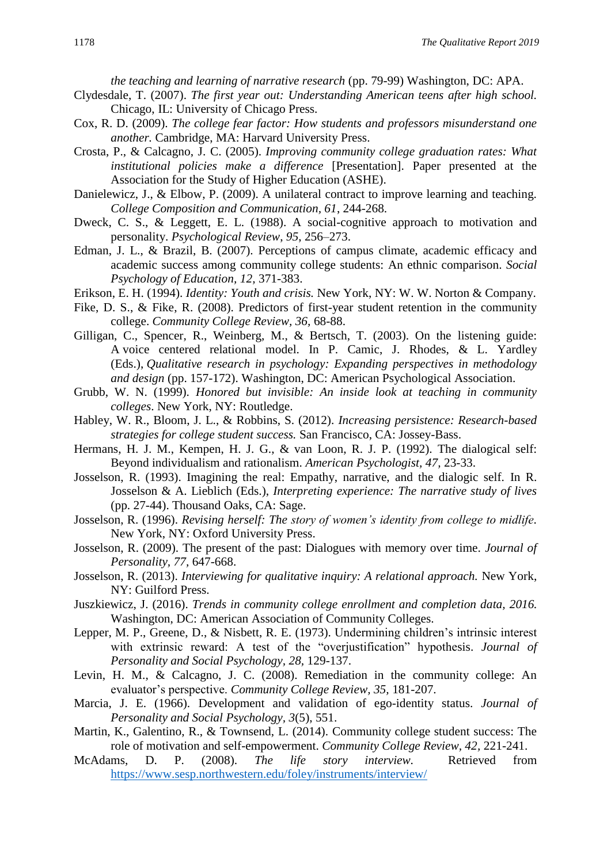*the teaching and learning of narrative research* (pp. 79-99) Washington, DC: APA.

- Clydesdale, T. (2007). *The first year out: Understanding American teens after high school.* Chicago, IL: University of Chicago Press.
- Cox, R. D. (2009). *The college fear factor: How students and professors misunderstand one another.* Cambridge, MA: Harvard University Press.
- Crosta, P., & Calcagno, J. C. (2005). *Improving community college graduation rates: What institutional policies make a difference* [Presentation]. Paper presented at the Association for the Study of Higher Education (ASHE).
- Danielewicz, J., & Elbow, P. (2009). A unilateral contract to improve learning and teaching. *College Composition and Communication, 61*, 244-268.
- Dweck, C. S., & Leggett, E. L. (1988). A social-cognitive approach to motivation and personality. *Psychological Review*, *95*, 256–273.
- Edman, J. L., & Brazil, B. (2007). Perceptions of campus climate, academic efficacy and academic success among community college students: An ethnic comparison. *Social Psychology of Education, 12,* 371-383.
- Erikson, E. H. (1994). *Identity: Youth and crisis.* New York, NY: W. W. Norton & Company.
- Fike, D. S., & Fike, R. (2008). Predictors of first-year student retention in the community college. *Community College Review, 36,* 68-88.
- Gilligan, C., Spencer, R., Weinberg, M., & Bertsch, T. (2003). On the listening guide: A voice centered relational model. In P. Camic, J. Rhodes, & L. Yardley (Eds.), *Qualitative research in psychology: Expanding perspectives in methodology and design* (pp. 157-172). Washington, DC: American Psychological Association.
- Grubb, W. N. (1999). *Honored but invisible: An inside look at teaching in community colleges*. New York, NY: Routledge.
- Habley, W. R., Bloom, J. L., & Robbins, S. (2012). *Increasing persistence: Research-based strategies for college student success.* San Francisco, CA: Jossey-Bass.
- Hermans, H. J. M., Kempen, H. J. G., & van Loon, R. J. P. (1992). The dialogical self: Beyond individualism and rationalism. *American Psychologist, 47,* 23-33.
- Josselson, R. (1993). Imagining the real: Empathy, narrative, and the dialogic self. In R. Josselson & A. Lieblich (Eds.), *Interpreting experience: The narrative study of lives*  (pp. 27-44). Thousand Oaks, CA: Sage.
- Josselson, R. (1996). *Revising herself: The story of women's identity from college to midlife.* New York, NY: Oxford University Press.
- Josselson, R. (2009). The present of the past: Dialogues with memory over time. *Journal of Personality, 77,* 647-668.
- Josselson, R. (2013). *Interviewing for qualitative inquiry: A relational approach.* New York, NY: Guilford Press.
- Juszkiewicz, J. (2016). *Trends in community college enrollment and completion data, 2016.* Washington, DC: American Association of Community Colleges.
- Lepper, M. P., Greene, D., & Nisbett, R. E. (1973). Undermining children's intrinsic interest with extrinsic reward: A test of the "overjustification" hypothesis. *Journal of Personality and Social Psychology, 28,* 129-137.
- Levin, H. M., & Calcagno, J. C. (2008). Remediation in the community college: An evaluator's perspective. *Community College Review, 35,* 181-207.
- Marcia, J. E. (1966). Development and validation of ego-identity status. *Journal of Personality and Social Psychology, 3*(5), 551.
- Martin, K., Galentino, R., & Townsend, L. (2014). Community college student success: The role of motivation and self-empowerment. *Community College Review, 42,* 221-241.
- McAdams, D. P. (2008). *The life story interview.* Retrieved from <https://www.sesp.northwestern.edu/foley/instruments/interview/>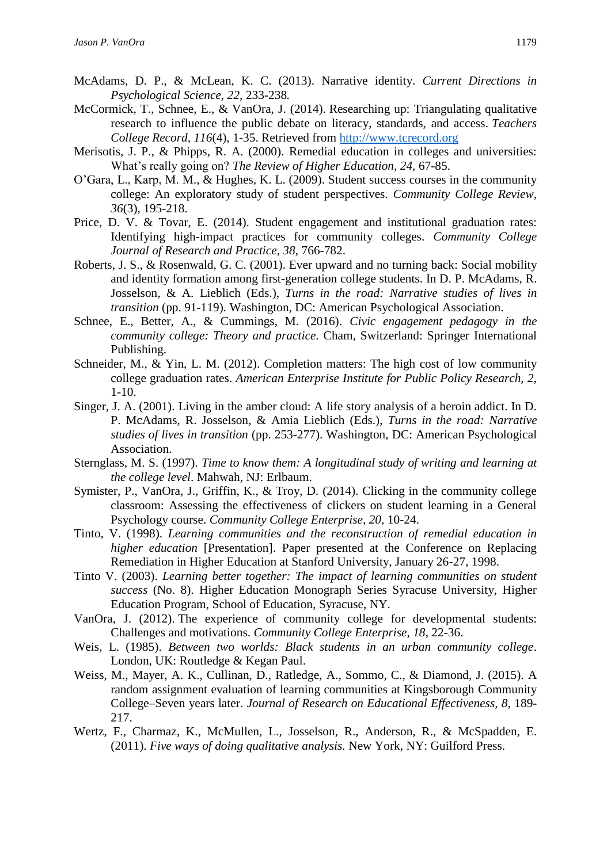- McAdams, D. P., & McLean, K. C. (2013). Narrative identity. *Current Directions in Psychological Science, 22,* 233-238*.*
- McCormick, T., Schnee, E., & VanOra, J. (2014). Researching up: Triangulating qualitative research to influence the public debate on literacy, standards, and access. *Teachers College Record, 116*(4), 1-35. Retrieved from [http://www.tcrecord.org](http://www.tcrecord.org/)
- Merisotis, J. P., & Phipps, R. A. (2000). Remedial education in colleges and universities: What's really going on? *The Review of Higher Education, 24,* 67-85.
- O'Gara, L., Karp, M. M., & Hughes, K. L. (2009). Student success courses in the community college: An exploratory study of student perspectives. *Community College Review, 36*(3)*,* 195-218.
- Price, D. V. & Tovar, E. (2014). Student engagement and institutional graduation rates: Identifying high-impact practices for community colleges. *Community College Journal of Research and Practice, 38,* 766-782.
- Roberts, J. S., & Rosenwald, G. C. (2001). Ever upward and no turning back: Social mobility and identity formation among first-generation college students. In D. P. McAdams, R. Josselson, & A. Lieblich (Eds.), *Turns in the road: Narrative studies of lives in transition* (pp. 91-119). Washington, DC: American Psychological Association.
- Schnee, E., Better, A., & Cummings, M. (2016). *Civic engagement pedagogy in the community college: Theory and practice*. Cham, Switzerland: Springer International Publishing.
- Schneider, M., & Yin, L. M. (2012). Completion matters: The high cost of low community college graduation rates. *American Enterprise Institute for Public Policy Research, 2,*  1-10.
- Singer, J. A. (2001). Living in the amber cloud: A life story analysis of a heroin addict. In D. P. McAdams, R. Josselson, & Amia Lieblich (Eds.), *Turns in the road: Narrative studies of lives in transition* (pp. 253-277). Washington, DC: American Psychological Association.
- Sternglass, M. S. (1997). *Time to know them: A longitudinal study of writing and learning at the college level*. Mahwah, NJ: Erlbaum.
- Symister, P., VanOra, J., Griffin, K., & Troy, D. (2014). Clicking in the community college classroom: Assessing the effectiveness of clickers on student learning in a General Psychology course. *Community College Enterprise, 20,* 10-24.
- Tinto, V. (1998). *Learning communities and the reconstruction of remedial education in higher education* [Presentation]. Paper presented at the Conference on Replacing Remediation in Higher Education at Stanford University, January 26-27, 1998.
- Tinto V. (2003). *Learning better together: The impact of learning communities on student success* (No. 8). Higher Education Monograph Series Syracuse University, Higher Education Program, School of Education, Syracuse, NY.
- VanOra, J. (2012). The experience of community college for developmental students: Challenges and motivations. *Community College Enterprise, 18*, 22-36.
- Weis, L. (1985). *Between two worlds: Black students in an urban community college*. London, UK: Routledge & Kegan Paul.
- Weiss, M., Mayer, A. K., Cullinan, D., Ratledge, A., Sommo, C., & Diamond, J. (2015). A random assignment evaluation of learning communities at Kingsborough Community College–Seven years later. *Journal of Research on Educational Effectiveness, 8*, 189- 217.
- Wertz, F., Charmaz, K., McMullen, L., Josselson, R., Anderson, R., & McSpadden, E. (2011). *Five ways of doing qualitative analysis.* New York, NY: Guilford Press.